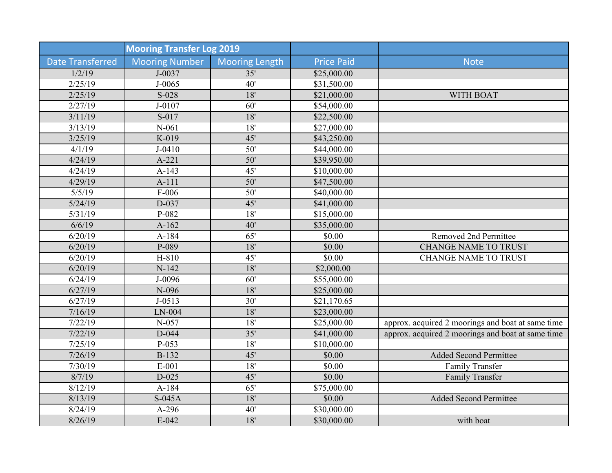| <b>Mooring Transfer Log 2019</b> |                       |                       |                   |                                                   |
|----------------------------------|-----------------------|-----------------------|-------------------|---------------------------------------------------|
| <b>Date Transferred</b>          | <b>Mooring Number</b> | <b>Mooring Length</b> | <b>Price Paid</b> | <b>Note</b>                                       |
| 1/2/19                           | J-0037                | 35'                   | \$25,000.00       |                                                   |
| 2/25/19                          | $J - 0065$            | 40'                   | \$31,500.00       |                                                   |
| 2/25/19                          | $S-028$               | 18'                   | \$21,000.00       | WITH BOAT                                         |
| 2/27/19                          | $J - 0107$            | 60'                   | \$54,000.00       |                                                   |
| 3/11/19                          | S-017                 | 18'                   | \$22,500.00       |                                                   |
| 3/13/19                          | $N-061$               | 18'                   | \$27,000.00       |                                                   |
| 3/25/19                          | K-019                 | 45'                   | \$43,250.00       |                                                   |
| 4/1/19                           | $J - 0410$            | $\overline{50'}$      | \$44,000.00       |                                                   |
| 4/24/19                          | $A-221$               | 50'                   | \$39,950.00       |                                                   |
| 4/24/19                          | $A-143$               | 45'                   | \$10,000.00       |                                                   |
| 4/29/19                          | $A-111$               | 50'                   | \$47,500.00       |                                                   |
| 5/5/19                           | $F-006$               | $\overline{50'}$      | \$40,000.00       |                                                   |
| 5/24/19                          | $D-037$               | 45'                   | \$41,000.00       |                                                   |
| $\frac{5}{31/19}$                | $P-082$               | $\overline{18}$       | \$15,000.00       |                                                   |
| 6/6/19                           | $A-162$               | 40'                   | \$35,000.00       |                                                   |
| 6/20/19                          | $A-184$               | 65'                   | \$0.00            | Removed 2nd Permittee                             |
| 6/20/19                          | P-089                 | 18'                   | \$0.00            | <b>CHANGE NAME TO TRUST</b>                       |
| 6/20/19                          | H-810                 | 45'                   | \$0.00            | <b>CHANGE NAME TO TRUST</b>                       |
| 6/20/19                          | $N-142$               | 18'                   | \$2,000.00        |                                                   |
| 6/24/19                          | J-0096                | 60'                   | \$55,000.00       |                                                   |
| 6/27/19                          | N-096                 | 18'                   | \$25,000.00       |                                                   |
| 6/27/19                          | $J - 0513$            | 30'                   | \$21,170.65       |                                                   |
| 7/16/19                          | $LN-004$              | 18'                   | \$23,000.00       |                                                   |
| 7/22/19                          | $N-057$               | $18'$                 | \$25,000.00       | approx. acquired 2 moorings and boat at same time |
| 7/22/19                          | $D-044$               | $\overline{35'}$      | \$41,000.00       | approx. acquired 2 moorings and boat at same time |
| 7/25/19                          | $P-053$               | 18'                   | \$10,000.00       |                                                   |
| 7/26/19                          | <b>B-132</b>          | 45'                   | \$0.00            | <b>Added Second Permittee</b>                     |
| 7/30/19                          | $E-001$               | $\overline{18}$       | \$0.00            | Family Transfer                                   |
| 8/7/19                           | $D-025$               | 45'                   | \$0.00            | Family Transfer                                   |
| 8/12/19                          | $A-184$               | $\overline{65}$       | \$75,000.00       |                                                   |
| 8/13/19                          | $S-045A$              | 18'                   | \$0.00            | <b>Added Second Permittee</b>                     |
| 8/24/19                          | A-296                 | 40'                   | \$30,000.00       |                                                   |
| 8/26/19                          | $E-042$               | 18'                   | \$30,000.00       | with boat                                         |